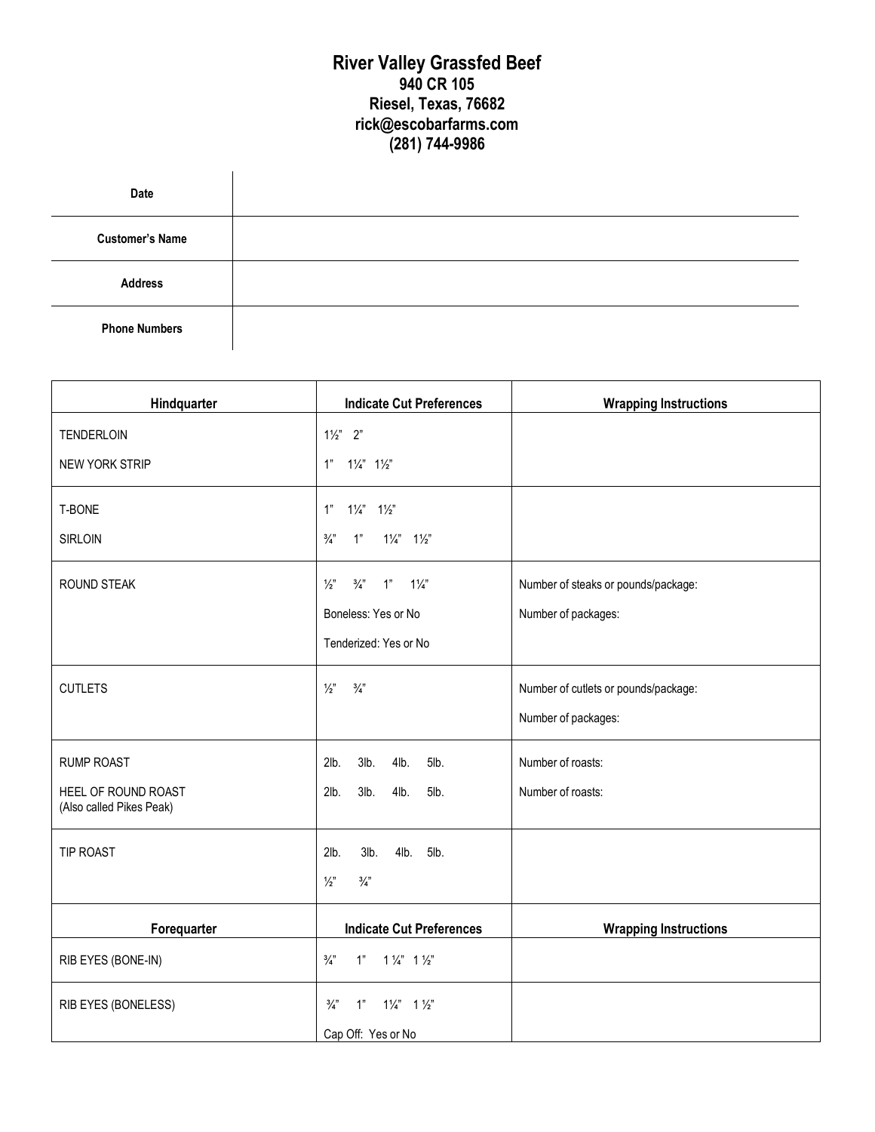## **River Valley Grassfed Beef 940 CR 105 Riesel, Texas, 76682 rick@escobarfarms.com (281) 744-9986**

| Date                   |  |
|------------------------|--|
| <b>Customer's Name</b> |  |
| <b>Address</b>         |  |
| <b>Phone Numbers</b>   |  |

| Hindquarter                                     | <b>Indicate Cut Preferences</b>                        | <b>Wrapping Instructions</b>         |
|-------------------------------------------------|--------------------------------------------------------|--------------------------------------|
| TENDERLOIN                                      | $1\frac{1}{2}$ 2"                                      |                                      |
| NEW YORK STRIP                                  | $1"$ $1\frac{1}{4}"$ $1\frac{1}{2}"$                   |                                      |
| T-BONE                                          | 1"<br>$1\frac{1}{4}$ $1\frac{1}{2}$                    |                                      |
| <b>SIRLOIN</b>                                  | $\frac{3}{4}$ "<br>$1\frac{1}{4}$ $1\frac{1}{2}$<br>1" |                                      |
| ROUND STEAK                                     | $\frac{1}{2}$<br>$\frac{3}{4}$<br>$1\frac{1}{4}$<br>1" | Number of steaks or pounds/package:  |
|                                                 | Boneless: Yes or No                                    | Number of packages:                  |
|                                                 | Tenderized: Yes or No                                  |                                      |
| <b>CUTLETS</b>                                  | $\frac{1}{2}$<br>$\frac{3}{4}$ "                       | Number of cutlets or pounds/package: |
|                                                 |                                                        | Number of packages:                  |
| <b>RUMP ROAST</b>                               | 2lb.<br>$3lb$ .<br>4lb.<br>5lb.                        | Number of roasts:                    |
| HEEL OF ROUND ROAST<br>(Also called Pikes Peak) | $3lb$ .<br>4lb.<br>2lb.<br>5lb.                        | Number of roasts:                    |
| TIP ROAST                                       | 2lb.<br>4lb. 5lb.<br>3lb.                              |                                      |
|                                                 | $\frac{1}{2}$<br>$\frac{3}{4}$                         |                                      |
| Forequarter                                     | <b>Indicate Cut Preferences</b>                        | <b>Wrapping Instructions</b>         |
| RIB EYES (BONE-IN)                              | $\frac{3}{4}$<br>$1"$ $1\frac{1}{4}"$ $1\frac{1}{2}"$  |                                      |
| RIB EYES (BONELESS)                             | $\frac{3}{4}$<br>1"<br>$1\frac{1}{4}$ 1 $\frac{1}{2}$  |                                      |
|                                                 | Cap Off: Yes or No                                     |                                      |